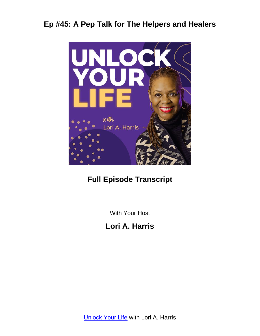

# **Full Episode Transcript**

With Your Host

**Lori A. Harris**

**[Unlock Your Life](https://loriaharris.com/podcast) with Lori A. Harris**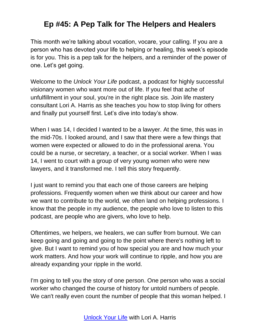This month we're talking about vocation, vocare, your calling. If you are a person who has devoted your life to helping or healing, this week's episode is for you. This is a pep talk for the helpers, and a reminder of the power of one. Let's get going.

Welcome to the *Unlock Your Life* podcast, a podcast for highly successful visionary women who want more out of life. If you feel that ache of unfulfillment in your soul, you're in the right place sis. Join life mastery consultant Lori A. Harris as she teaches you how to stop living for others and finally put yourself first. Let's dive into today's show.

When I was 14, I decided I wanted to be a lawyer. At the time, this was in the mid-70s. I looked around, and I saw that there were a few things that women were expected or allowed to do in the professional arena. You could be a nurse, or secretary, a teacher, or a social worker. When I was 14, I went to court with a group of very young women who were new lawyers, and it transformed me. I tell this story frequently.

I just want to remind you that each one of those careers are helping professions. Frequently women when we think about our career and how we want to contribute to the world, we often land on helping professions. I know that the people in my audience, the people who love to listen to this podcast, are people who are givers, who love to help.

Oftentimes, we helpers, we healers, we can suffer from burnout. We can keep going and going and going to the point where there's nothing left to give. But I want to remind you of how special you are and how much your work matters. And how your work will continue to ripple, and how you are already expanding your ripple in the world.

I'm going to tell you the story of one person. One person who was a social worker who changed the course of history for untold numbers of people. We can't really even count the number of people that this woman helped. I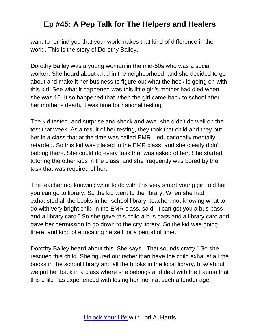want to remind you that your work makes that kind of difference in the world. This is the story of Dorothy Bailey.

Dorothy Bailey was a young woman in the mid-50s who was a social worker. She heard about a kid in the neighborhood, and she decided to go about and make it her business to figure out what the heck is going on with this kid. See what it happened was this little girl's mother had died when she was 10. It so happened that when the girl came back to school after her mother's death, it was time for national testing.

The kid tested, and surprise and shock and awe, she didn't do well on the test that week. As a result of her testing, they took that child and they put her in a class that at the time was called EMR—educationally mentally retarded. So this kid was placed in the EMR class, and she clearly didn't belong there. She could do every task that was asked of her. She started tutoring the other kids in the class, and she frequently was bored by the task that was required of her.

The teacher not knowing what to do with this very smart young girl told her you can go to library. So the kid went to the library. When she had exhausted all the books in her school library, teacher, not knowing what to do with very bright child in the EMR class, said, "I can get you a bus pass and a library card." So she gave this child a bus pass and a library card and gave her permission to go down to the city library. So the kid was going there, and kind of educating herself for a period of time.

Dorothy Bailey heard about this. She says, "That sounds crazy." So she rescued this child. She figured out rather than have the child exhaust all the books in the school library and all the books in the local library, how about we put her back in a class where she belongs and deal with the trauma that this child has experienced with losing her mom at such a tender age.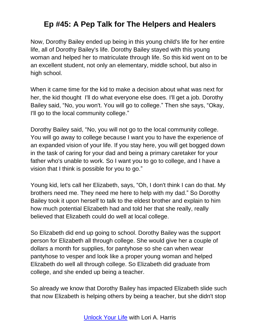Now, Dorothy Bailey ended up being in this young child's life for her entire life, all of Dorothy Bailey's life. Dorothy Bailey stayed with this young woman and helped her to matriculate through life. So this kid went on to be an excellent student, not only an elementary, middle school, but also in high school.

When it came time for the kid to make a decision about what was next for her, the kid thought I'll do what everyone else does. I'll get a job. Dorothy Bailey said, "No, you won't. You will go to college." Then she says, "Okay, I'll go to the local community college."

Dorothy Bailey said, "No, you will not go to the local community college. You will go away to college because I want you to have the experience of an expanded vision of your life. If you stay here, you will get bogged down in the task of caring for your dad and being a primary caretaker for your father who's unable to work. So I want you to go to college, and I have a vision that I think is possible for you to go."

Young kid, let's call her Elizabeth, says, "Oh, I don't think I can do that. My brothers need me. They need me here to help with my dad." So Dorothy Bailey took it upon herself to talk to the eldest brother and explain to him how much potential Elizabeth had and told her that she really, really believed that Elizabeth could do well at local college.

So Elizabeth did end up going to school. Dorothy Bailey was the support person for Elizabeth all through college. She would give her a couple of dollars a month for supplies, for pantyhose so she can when wear pantyhose to vesper and look like a proper young woman and helped Elizabeth do well all through college. So Elizabeth did graduate from college, and she ended up being a teacher.

So already we know that Dorothy Bailey has impacted Elizabeth slide such that now Elizabeth is helping others by being a teacher, but she didn't stop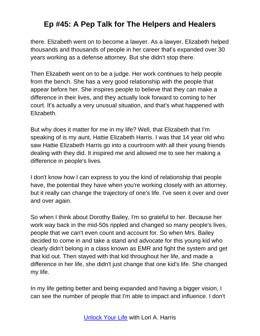there. Elizabeth went on to become a lawyer. As a lawyer, Elizabeth helped thousands and thousands of people in her career that's expanded over 30 years working as a defense attorney. But she didn't stop there.

Then Elizabeth went on to be a judge. Her work continues to help people from the bench. She has a very good relationship with the people that appear before her. She inspires people to believe that they can make a difference in their lives, and they actually look forward to coming to her court. It's actually a very unusual situation, and that's what happened with Elizabeth.

But why does it matter for me in my life? Well, that Elizabeth that I'm speaking of is my aunt, Hattie Elizabeth Harris. I was that 14 year old who saw Hattie Elizabeth Harris go into a courtroom with all their young friends dealing with they did. It inspired me and allowed me to see her making a difference in people's lives.

I don't know how I can express to you the kind of relationship that people have, the potential they have when you're working closely with an attorney, but it really can change the trajectory of one's life. I've seen it over and over and over again.

So when I think about Dorothy Bailey, I'm so grateful to her. Because her work way back in the mid-50s rippled and changed so many people's lives, people that we can't even count and account for. So when Mrs. Bailey decided to come in and take a stand and advocate for this young kid who clearly didn't belong in a class known as EMR and fight the system and get that kid out. Then stayed with that kid throughout her life, and made a difference in her life, she didn't just change that one kid's life. She changed my life.

In my life getting better and being expanded and having a bigger vision, I can see the number of people that I'm able to impact and influence. I don't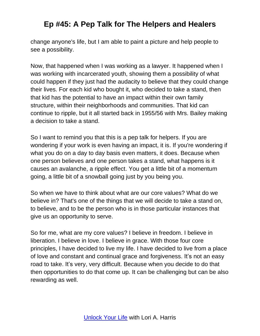change anyone's life, but I am able to paint a picture and help people to see a possibility.

Now, that happened when I was working as a lawyer. It happened when I was working with incarcerated youth, showing them a possibility of what could happen if they just had the audacity to believe that they could change their lives. For each kid who bought it, who decided to take a stand, then that kid has the potential to have an impact within their own family structure, within their neighborhoods and communities. That kid can continue to ripple, but it all started back in 1955/56 with Mrs. Bailey making a decision to take a stand.

So I want to remind you that this is a pep talk for helpers. If you are wondering if your work is even having an impact, it is. If you're wondering if what you do on a day to day basis even matters, it does. Because when one person believes and one person takes a stand, what happens is it causes an avalanche, a ripple effect. You get a little bit of a momentum going, a little bit of a snowball going just by you being you.

So when we have to think about what are our core values? What do we believe in? That's one of the things that we will decide to take a stand on, to believe, and to be the person who is in those particular instances that give us an opportunity to serve.

So for me, what are my core values? I believe in freedom. I believe in liberation. I believe in love. I believe in grace. With those four core principles, I have decided to live my life. I have decided to live from a place of love and constant and continual grace and forgiveness. It's not an easy road to take. It's very, very difficult. Because when you decide to do that then opportunities to do that come up. It can be challenging but can be also rewarding as well.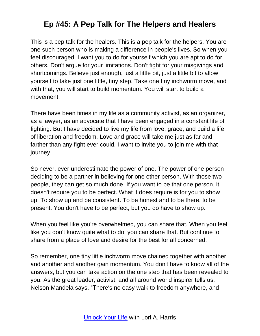This is a pep talk for the healers. This is a pep talk for the helpers. You are one such person who is making a difference in people's lives. So when you feel discouraged, I want you to do for yourself which you are apt to do for others. Don't argue for your limitations. Don't fight for your misgivings and shortcomings. Believe just enough, just a little bit, just a little bit to allow yourself to take just one little, tiny step. Take one tiny inchworm move, and with that, you will start to build momentum. You will start to build a movement.

There have been times in my life as a community activist, as an organizer, as a lawyer, as an advocate that I have been engaged in a constant life of fighting. But I have decided to live my life from love, grace, and build a life of liberation and freedom. Love and grace will take me just as far and farther than any fight ever could. I want to invite you to join me with that journey.

So never, ever underestimate the power of one. The power of one person deciding to be a partner in believing for one other person. With those two people, they can get so much done. If you want to be that one person, it doesn't require you to be perfect. What it does require is for you to show up. To show up and be consistent. To be honest and to be there, to be present. You don't have to be perfect, but you do have to show up.

When you feel like you're overwhelmed, you can share that. When you feel like you don't know quite what to do, you can share that. But continue to share from a place of love and desire for the best for all concerned.

So remember, one tiny little inchworm move chained together with another and another and another gain momentum. You don't have to know all of the answers, but you can take action on the one step that has been revealed to you. As the great leader, activist, and all around world inspirer tells us, Nelson Mandela says, "There's no easy walk to freedom anywhere, and